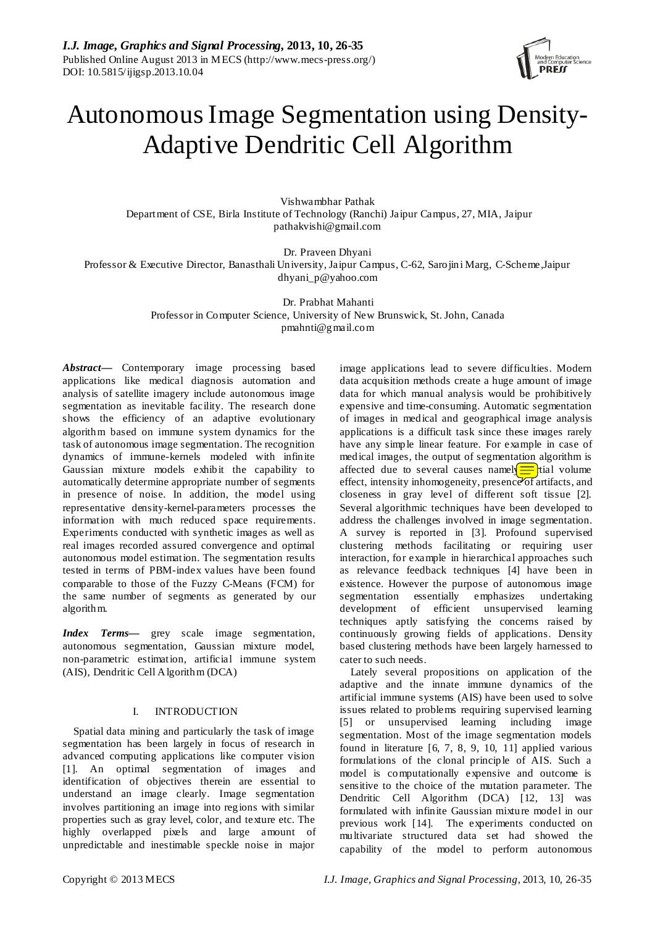

# Autonomous Image Segmentation using Density-Adaptive Dendritic Cell Algorithm

Vishwambhar Pathak Department of CSE, Birla Institute of Technology (Ranchi) Jaipur Campus, 27, MIA, Jaipur pathakvishi@gmail.com

Dr. Praveen Dhyani Professor & Executive Director, Banasthali University, Jaipur Campus, C-62, Sarojini Marg, C-Scheme,Jaipur dhyani\_p@yahoo.com

> Dr. Prabhat Mahanti Professor in Computer Science, University of New Brunswick, St. John, Canada pmahnti@gmail.com

*Abstract***—** Contemporary image processing based applications like medical diagnosis automation and analysis of satellite imagery include autonomous image segmentation as inevitable facility. The research done shows the efficiency of an adaptive evolutionary algorithm based on immune system dynamics for the task of autonomous image segmentation. The recognition dynamics of immune-kernels modeled with infinite Gaussian mixture models exhibit the capability to automatically determine appropriate number of segments in presence of noise. In addition, the model using representative density-kernel-parameters processes the information with much reduced space requirements. Experiments conducted with synthetic images as well as real images recorded assured convergence and optimal autonomous model estimation. The segmentation results tested in terms of PBM-index values have been found comparable to those of the Fuzzy C-Means (FCM) for the same number of segments as generated by our algorithm.

*Index Terms***—** grey scale image segmentation, autonomous segmentation, Gaussian mixture model, non-parametric estimation, artificial immune system (AIS), Dendritic Cell Algorithm (DCA)

# I. INTRODUCTION

Spatial data mining and particularly the task of image segmentation has been largely in focus of research in advanced computing applications like computer vision [1]. An optimal segmentation of images and identification of objectives therein are essential to understand an image clearly. Image segmentation involves partitioning an image into regions with similar properties such as gray level, color, and texture etc. The highly overlapped pixels and large amount of unpredictable and inestimable speckle noise in major

image applications lead to severe difficulties. Modern data acquisition methods create a huge amount of image data for which manual analysis would be prohibitively expensive and time-consuming. Automatic segmentation of images in medical and geographical image analysis applications is a difficult task since these images rarely have any simple linear feature. For example in case of medical images, the output of segmentation algorithm is affected due to several causes namel $\leftarrow$ tial volume effect, intensity inhomogeneity, presence of artifacts, and closeness in gray level of different soft tissue [2]. Several algorithmic techniques have been developed to address the challenges involved in image segmentation. A survey is reported in [3]. Profound supervised clustering methods facilitating or requiring user interaction, for example in hierarchical approaches such as relevance feedback techniques [4] have been in existence. However the purpose of autonomous image segmentation essentially emphasizes undertaking development of efficient unsupervised learning techniques aptly satisfying the concerns raised by continuously growing fields of applications. Density based clustering methods have been largely harnessed to cater to such needs.

Lately several propositions on application of the adaptive and the innate immune dynamics of the artificial immune systems (AIS) have been used to solve issues related to problems requiring supervised learning [5] or unsupervised learning including image segmentation. Most of the image segmentation models found in literature [6, 7, 8, 9, 10, 11] applied various formulations of the clonal principle of AIS. Such a model is computationally expensive and outcome is sensitive to the choice of the mutation parameter. The Dendritic Cell Algorithm (DCA) [12, 13] was formulated with infinite Gaussian mixture model in our previous work [14]. The experiments conducted on multivariate structured data set had showed the capability of the model to perform autonomous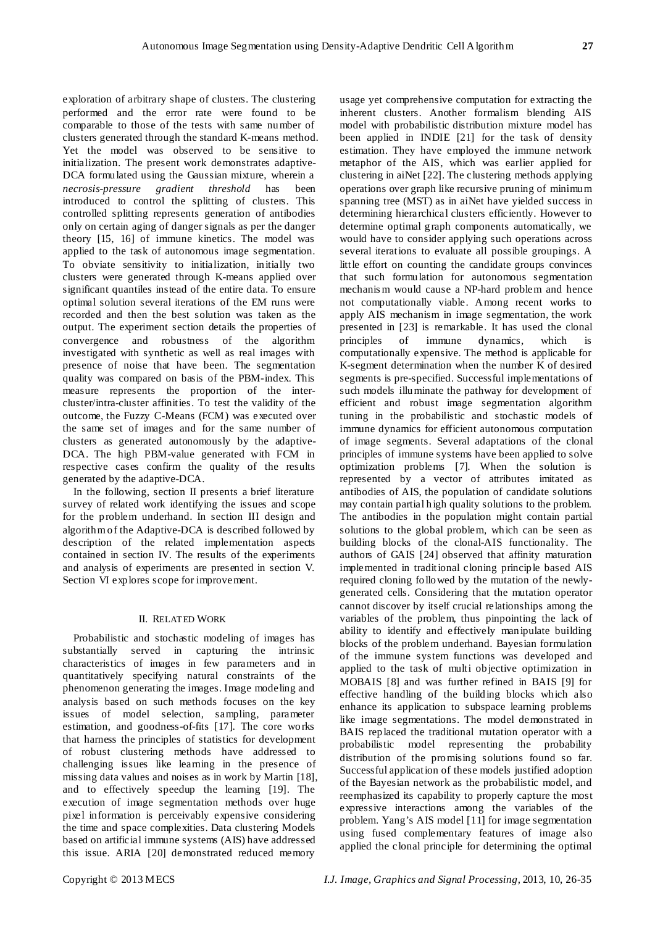exploration of arbitrary shape of clusters. The clustering performed and the error rate were found to be comparable to those of the tests with same number of clusters generated through the standard K-means method. Yet the model was observed to be sensitive to initialization. The present work demonstrates adaptive-DCA formulated using the Gaussian mixture, wherein a *necrosis-pressure gradient threshold* has been introduced to control the splitting of clusters. This controlled splitting represents generation of antibodies only on certain aging of danger signals as per the danger theory [15, 16] of immune kinetics. The model was applied to the task of autonomous image segmentation. To obviate sensitivity to initialization, initially two clusters were generated through K-means applied over significant quantiles instead of the entire data. To ensure optimal solution several iterations of the EM runs were recorded and then the best solution was taken as the output. The experiment section details the properties of convergence and robustness of the algorithm investigated with synthetic as well as real images with presence of noise that have been. The segmentation quality was compared on basis of the PBM-index. This measure represents the proportion of the intercluster/intra-cluster affinities. To test the validity of the outcome, the Fuzzy C-Means (FCM) was executed over the same set of images and for the same number of clusters as generated autonomously by the adaptive-DCA. The high PBM-value generated with FCM in respective cases confirm the quality of the results generated by the adaptive-DCA.

In the following, section II presents a brief literature survey of related work identifying the issues and scope for the problem underhand. In section III design and algorithm of the Adaptive-DCA is described followed by description of the related implementation aspects contained in section IV. The results of the experiments and analysis of experiments are presented in section V. Section VI explores scope for improvement.

# II. RELATED WORK

Probabilistic and stochastic modeling of images has substantially served in capturing the intrinsic characteristics of images in few parameters and in quantitatively specifying natural constraints of the phenomenon generating the images. Image modeling and analysis based on such methods focuses on the key issues of model selection, sampling, parameter estimation, and goodness-of-fits [17]. The core works that harness the principles of statistics for development of robust clustering methods have addressed to challenging issues like learning in the presence of missing data values and noises as in work by Martin [18], and to effectively speedup the learning [19]. The execution of image segmentation methods over huge pixel information is perceivably expensive considering the time and space complexities. Data clustering Models based on artificial immune systems (AIS) have addressed this issue. ARIA [20] demonstrated reduced memory

usage yet comprehensive computation for extracting the inherent clusters. Another formalism blending AIS model with probabilistic distribution mixture model has been applied in INDIE [21] for the task of density estimation. They have employed the immune network metaphor of the AIS, which was earlier applied for clustering in aiNet [22]. The clustering methods applying operations over graph like recursive pruning of minimum spanning tree (MST) as in aiNet have yielded success in determining hierarchical clusters efficiently. However to determine optimal graph components automatically, we would have to consider applying such operations across several iterations to evaluate all possible groupings. A little effort on counting the candidate groups convinces that such formulation for autonomous segmentation mechanis m would cause a NP-hard problem and hence not computationally viable. Among recent works to apply AIS mechanism in image segmentation, the work presented in [23] is remarkable. It has used the clonal principles of immune dynamics, which is computationally expensive. The method is applicable for K-segment determination when the number K of desired segments is pre-specified. Successful implementations of such models illuminate the pathway for development of efficient and robust image segmentation algorithm tuning in the probabilistic and stochastic models of immune dynamics for efficient autonomous computation of image segments. Several adaptations of the clonal principles of immune systems have been applied to solve optimization problems [7]. When the solution is represented by a vector of attributes imitated as antibodies of AIS, the population of candidate solutions may contain partial high quality solutions to the problem. The antibodies in the population might contain partial solutions to the global problem, which can be seen as building blocks of the clonal-AIS functionality. The authors of GAIS [24] observed that affinity maturation implemented in traditional cloning principle based AIS required cloning followed by the mutation of the newlygenerated cells. Considering that the mutation operator cannot discover by itself crucial relationships among the variables of the problem, thus pinpointing the lack of ability to identify and effectively manipulate building blocks of the problem underhand. Bayesian formulation of the immune system functions was developed and applied to the task of multi objective optimization in MOBAIS [8] and was further refined in BAIS [9] for effective handling of the building blocks which also enhance its application to subspace learning problems like image segmentations. The model demonstrated in BAIS replaced the traditional mutation operator with a probabilistic model representing the probability distribution of the promising solutions found so far. Successful application of these models justified adoption of the Bayesian network as the probabilistic model, and reemphasized its capability to properly capture the most expressive interactions among the variables of the problem. Yang's AIS model [11] for image segmentation using fused complementary features of image also applied the clonal principle for determining the optimal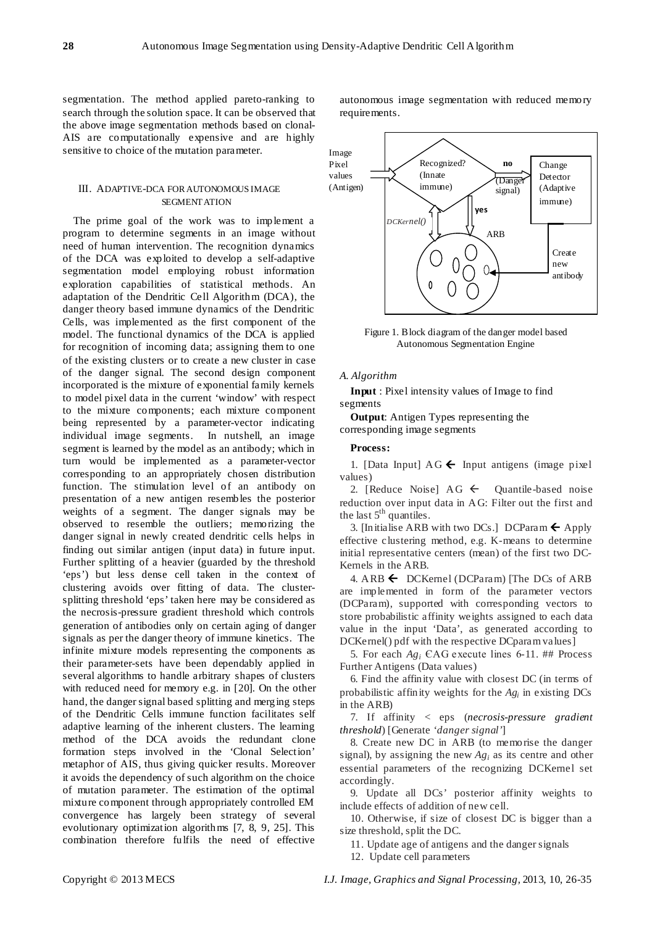segmentation. The method applied pareto-ranking to search through the solution space. It can be observed that the above image segmentation methods based on clonal-AIS are computationally expensive and are highly sensitive to choice of the mutation parameter.

## III. ADAPTIVE-DCA FOR AUTONOMOUS IMAGE SEGMENT ATION

The prime goal of the work was to implement a program to determine segments in an image without need of human intervention. The recognition dynamics of the DCA was exploited to develop a self-adaptive segmentation model employing robust information exploration capabilities of statistical methods. An adaptation of the Dendritic Cell Algorithm (DCA), the danger theory based immune dynamics of the Dendritic Cells, was implemented as the first component of the model. The functional dynamics of the DCA is applied for recognition of incoming data; assigning them to one of the existing clusters or to create a new cluster in case of the danger signal. The second design component incorporated is the mixture of exponential family kernels to model pixel data in the current 'window' with respect to the mixture components; each mixture component being represented by a parameter-vector indicating individual image segments. In nutshell, an image segment is learned by the model as an antibody; which in turn would be implemented as a parameter-vector corresponding to an appropriately chosen distribution function. The stimulation level of an antibody on presentation of a new antigen resembles the posterior weights of a segment. The danger signals may be observed to resemble the outliers; memorizing the danger signal in newly created dendritic cells helps in finding out similar antigen (input data) in future input. Further splitting of a heavier (guarded by the threshold 'eps') but less dense cell taken in the context of clustering avoids over fitting of data. The clustersplitting threshold 'eps' taken here may be considered as the necrosis-pressure gradient threshold which controls generation of antibodies only on certain aging of danger signals as per the danger theory of immune kinetics. The infinite mixture models representing the components as their parameter-sets have been dependably applied in several algorithms to handle arbitrary shapes of clusters with reduced need for memory e.g. in [20]. On the other hand, the danger signal based splitting and merging steps of the Dendritic Cells immune function facilitates self adaptive learning of the inherent clusters. The learning method of the DCA avoids the redundant clone formation steps involved in the 'Clonal Selection' metaphor of AIS, thus giving quicker results. Moreover it avoids the dependency of such algorithm on the choice of mutation parameter. The estimation of the optimal mixture component through appropriately controlled EM convergence has largely been strategy of several evolutionary optimization algorithms [7, 8, 9, 25]. This combination therefore fulfils the need of effective

autonomous image segmentation with reduced memory requirements.



Figure 1. Block diagram of the danger model based Autonomous Segmentation Engine

#### *A. Algorithm*

**Input** : Pixel intensity values of Image to find segments

**Output**: Antigen Types representing the corresponding image segments

#### **Process:**

1. [Data Input]  $AG \leftarrow$  Input antigens (image pixel) values)

2. [Reduce Noise]  $AG \leftarrow$  Quantile-based noise reduction over input data in AG: Filter out the first and the last  $5<sup>th</sup>$  quantiles.

3. [Initialise ARB with two DCs.] DCParam  $\leftarrow$  Apply effective clustering method, e.g. K-means to determine initial representative centers (mean) of the first two DC-Kernels in the ARB.

4. ARB  $\leftarrow$  DCKernel (DCParam) [The DCs of ARB are implemented in form of the parameter vectors (DCParam), supported with corresponding vectors to store probabilistic affinity weights assigned to each data value in the input 'Data', as generated according to DCKernel() pdf with the respective DCparam values]

5. For each *Agi* ЄAG execute lines 6-11. ## Process Further Antigens (Data values)

6. Find the affinity value with closest DC (in terms of probabilistic affinity weights for the *Agi* in existing DCs in the ARB)

7. If affinity < eps (*necrosis-pressure gradient threshold*) [Generate '*danger signal'*]

8. Create new DC in ARB (to memorise the danger signal), by assigning the new *Agi* as its centre and other essential parameters of the recognizing DCKernel set accordingly.

9. Update all DCs' posterior affinity weights to include effects of addition of new cell.

10. Otherwise, if size of closest DC is bigger than a size threshold, split the DC.

11. Update age of antigens and the danger signals

12. Update cell parameters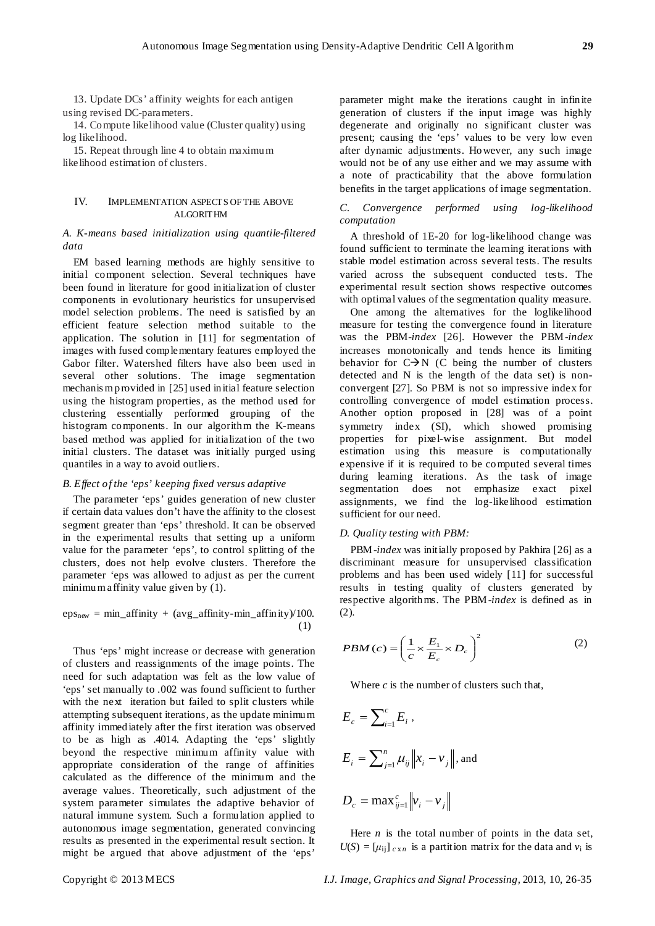13. Update DCs' affinity weights for each antigen using revised DC-parameters.

14. Compute likelihood value (Cluster quality) using log likelihood.

15. Repeat through line 4 to obtain maximum likelihood estimation of clusters.

## IV. IMPLEMENTATION ASPECTS OF THE ABOVE ALGORITHM

# *A. K-means based initialization using quantile-filtered data*

EM based learning methods are highly sensitive to initial component selection. Several techniques have been found in literature for good initialization of cluster components in evolutionary heuristics for unsupervised model selection problems. The need is satisfied by an efficient feature selection method suitable to the application. The solution in [11] for segmentation of images with fused complementary features employed the Gabor filter. Watershed filters have also been used in several other solutions. The image segmentation mechanis m provided in [25] used initial feature selection using the histogram properties, as the method used for clustering essentially performed grouping of the histogram components. In our algorithm the K-means based method was applied for initialization of the two initial clusters. The dataset was initially purged using quantiles in a way to avoid outliers.

### *B. Effect of the 'eps' keeping fixed versus adaptive*

The parameter 'eps' guides generation of new cluster if certain data values don't have the affinity to the closest segment greater than 'eps' threshold. It can be observed in the experimental results that setting up a uniform value for the parameter 'eps', to control splitting of the clusters, does not help evolve clusters. Therefore the parameter 'eps was allowed to adjust as per the current minimum affinity value given by (1).

$$
epsnew = min_affinity + (avg_affinity-min_affinity)/100.
$$
\n(1)

Thus 'eps' might increase or decrease with generation of clusters and reassignments of the image points. The need for such adaptation was felt as the low value of 'eps' set manually to .002 was found sufficient to further with the next iteration but failed to split clusters while attempting subsequent iterations, as the update minimum affinity immediately after the first iteration was observed to be as high as .4014. Adapting the 'eps' slightly beyond the respective minimum affinity value with appropriate consideration of the range of affinities calculated as the difference of the minimum and the average values. Theoretically, such adjustment of the system parameter simulates the adaptive behavior of natural immune system. Such a formulation applied to autonomous image segmentation, generated convincing results as presented in the experimental result section. It might be argued that above adjustment of the 'eps'

parameter might make the iterations caught in infinite generation of clusters if the input image was highly degenerate and originally no significant cluster was present; causing the 'eps' values to be very low even after dynamic adjustments. However, any such image would not be of any use either and we may assume with a note of practicability that the above formulation benefits in the target applications of image segmentation.

# *C. Convergence performed using log-likelihood computation*

A threshold of 1E-20 for log-likelihood change was found sufficient to terminate the learning iterations with stable model estimation across several tests. The results varied across the subsequent conducted tests. The experimental result section shows respective outcomes with optimal values of the segmentation quality measure.

One among the alternatives for the loglikelihood measure for testing the convergence found in literature was the PBM-*index* [26]. However the PBM-*index*  increases monotonically and tends hence its limiting behavior for  $C\rightarrow N$  (C being the number of clusters detected and N is the length of the data set) is nonconvergent [27]. So PBM is not so impressive index for controlling convergence of model estimation process. Another option proposed in [28] was of a point symmetry index (SI), which showed promising properties for pixel-wise assignment. But model estimation using this measure is computationally expensive if it is required to be computed several times during learning iterations. As the task of image segmentation does not emphasize exact pixel assignments, we find the log-likelihood estimation sufficient for our need.

#### *D. Quality testing with PBM:*

PBM-*index* was initially proposed by Pakhira [26] as a discriminant measure for unsupervised classification problems and has been used widely [11] for successful results in testing quality of clusters generated by respective algorithms. The PBM-*index* is defined as in (2).

$$
PBM(c) = \left(\frac{1}{c} \times \frac{E_1}{E_c} \times D_c\right)^2 \tag{2}
$$

Where  $c$  is the number of clusters such that,

$$
E_c = \sum_{i=1}^{c} E_i,
$$
  
\n
$$
E_i = \sum_{j=1}^{n} \mu_{ij} ||x_i - v_j||, \text{ and}
$$
  
\n
$$
D_c = \max_{ij=1}^{c} ||v_i - v_j||
$$

Here *n* is the total number of points in the data set,  $U(S) = [\mu_{ij}]_{c \times n}$  is a partition matrix for the data and  $v_i$  is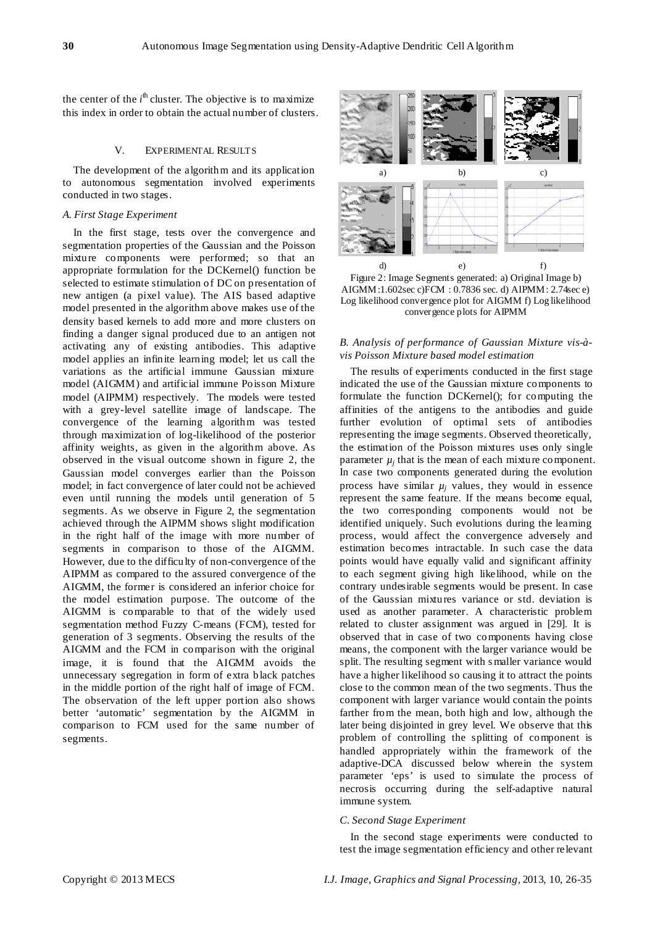the center of the  $i<sup>th</sup>$  cluster. The objective is to maximize this index in order to obtain the actual number of clusters.

## V. EXPERIMENTAL RESULTS

The development of the algorithm and its application to autonomous segmentation involved experiments conducted in two stages.

## *A. First Stage Experiment*

In the first stage, tests over the convergence and segmentation properties of the Gaussian and the Poisson mixture components were performed; so that an appropriate formulation for the DCKernel() function be selected to estimate stimulation of DC on presentation of new antigen (a pixel value). The AIS based adaptive model presented in the algorithm above makes use of the density based kernels to add more and more clusters on finding a danger signal produced due to an antigen not activating any of existing antibodies. This adaptive model applies an infinite learning model; let us call the variations as the artificial immune Gaussian mixture model (AIGMM) and artificial immune Poisson Mixture model (AIPMM) respectively. The models were tested with a grey-level satellite image of landscape. The convergence of the learning algorithm was tested through maximization of log-likelihood of the posterior affinity weights, as given in the algorithm above. As observed in the visual outcome shown in figure 2, the Gaussian model converges earlier than the Poisson model; in fact convergence of later could not be achieved even until running the models until generation of 5 segments. As we observe in Figure 2, the segmentation achieved through the AIPMM shows slight modification in the right half of the image with more number of segments in comparison to those of the AIGMM. However, due to the difficulty of non-convergence of the AIPMM as compared to the assured convergence of the AIGMM, the former is considered an inferior choice for the model estimation purpose. The outcome of the AIGMM is comparable to that of the widely used segmentation method Fuzzy C-means (FCM), tested for generation of 3 segments. Observing the results of the AIGMM and the FCM in comparison with the original image, it is found that the AIGMM avoids the unnecessary segregation in form of extra black patches in the middle portion of the right half of image of FCM. The observation of the left upper portion also shows better 'automatic' segmentation by the AIGMM in comparison to FCM used for the same number of segments.



Figure 2: Image Segments generated: a) Original Image b) AIGMM:1.602sec c)FCM : 0.7836 sec. d) AIPMM: 2.74sec e) Log likelihood convergence plot for AIGMM f) Log likelihood convergence plots for AIPMM

## *B. Analysis of performance of Gaussian Mixture vis-àvis Poisson Mixture based model estimation*

The results of experiments conducted in the first stage indicated the use of the Gaussian mixture components to formulate the function DCKernel(); for computing the affinities of the antigens to the antibodies and guide further evolution of optimal sets of antibodies representing the image segments. Observed theoretically, the estimation of the Poisson mixtures uses only single parameter  $\mu_i$  that is the mean of each mixture component. In case two components generated during the evolution process have similar  $\mu_i$  values, they would in essence represent the same feature. If the means become equal, the two corresponding components would not be identified uniquely. Such evolutions during the learning process, would affect the convergence adversely and estimation becomes intractable. In such case the data points would have equally valid and significant affinity to each segment giving high likelihood, while on the contrary undesirable segments would be present. In case of the Gaussian mixtures variance or std. deviation is used as another parameter. A characteristic problem related to cluster assignment was argued in [29]. It is observed that in case of two components having close means, the component with the larger variance would be split. The resulting segment with s maller variance would have a higher likelihood so causing it to attract the points close to the common mean of the two segments. Thus the component with larger variance would contain the points farther from the mean, both high and low, although the later being disjointed in grey level. We observe that this problem of controlling the splitting of component is handled appropriately within the framework of the adaptive-DCA discussed below wherein the system parameter 'eps' is used to simulate the process of necrosis occurring during the self-adaptive natural immune system.

### *C. Second Stage Experiment*

In the second stage experiments were conducted to test the image segmentation efficiency and other relevant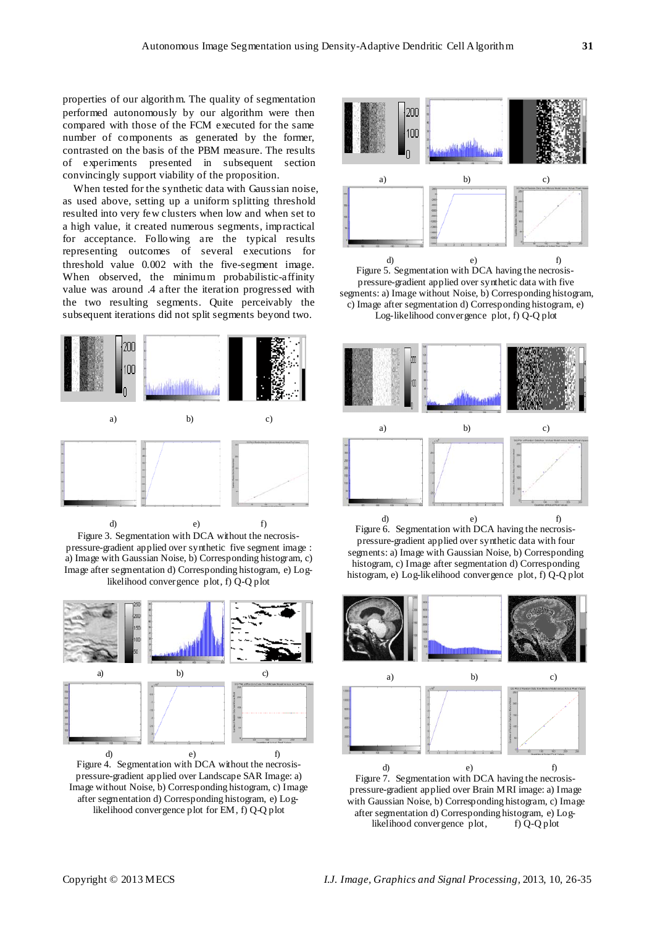properties of our algorithm. The quality of segmentation performed autonomously by our algorithm were then compared with those of the FCM executed for the same number of components as generated by the former, contrasted on the basis of the PBM measure. The results of experiments presented in subsequent section convincingly support viability of the proposition.

When tested for the synthetic data with Gaussian noise, as used above, setting up a uniform splitting threshold resulted into very few clusters when low and when set to a high value, it created numerous segments, impractical for acceptance. Following are the typical results representing outcomes of several executions for threshold value 0.002 with the five-segment image. When observed, the minimum probabilistic-affinity value was around .4 after the iteration progressed with the two resulting segments. Quite perceivably the subsequent iterations did not split segments beyond two.



Figure 3. Segmentation with DCA without the necrosispressure-gradient applied over synthetic five segment image : a) Image with Gaussian Noise, b) Corresponding histogram, c) Image after segmentation d) Corresponding histogram, e) Loglikelihood convergence plot, f) Q-Q plot



Figure 4. Segmentation with DCA without the necrosispressure-gradient applied over Landscape SAR Image: a) Image without Noise, b) Corresponding histogram, c) Image after segmentation d) Corresponding histogram, e) Loglikelihood convergence plot for EM, f) Q-Q plot



Figure 5. Segmentation with DCA having the necrosispressure-gradient applied over synthetic data with five segments: a) Image without Noise, b) Corresponding histogram, c) Image after segmentation d) Corresponding histogram, e) Log-likelihood convergence plot, f) Q-Q plot



Figure 6. Segmentation with DCA having the necrosispressure-gradient applied over synthetic data with four segments: a) Image with Gaussian Noise, b) Corresponding histogram, c) Image after segmentation d) Corresponding histogram, e) Log-likelihood convergence plot, f) Q-Q plot



Figure 7. Segmentation with DCA having the necrosispressure-gradient applied over Brain MRI image: a) Image with Gaussian Noise, b) Corresponding histogram, c) Image after segmentation d) Corresponding histogram, e) Loglikelihood convergence plot, f) Q-Q plot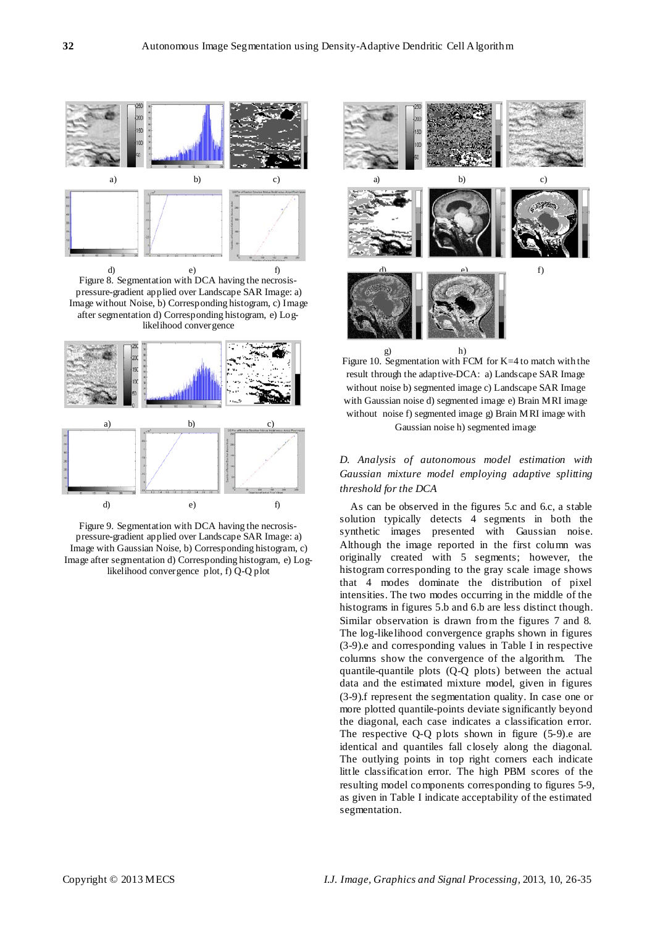

Figure 8. Segmentation with DCA having the necrosispressure-gradient applied over Landscape SAR Image: a) Image without Noise, b) Corresponding histogram, c) Image after segmentation d) Corresponding histogram, e) Loglikelihood convergence



Figure 9. Segmentation with DCA having the necrosispressure-gradient applied over Landscape SAR Image: a) Image with Gaussian Noise, b) Corresponding histogram, c) Image after segmentation d) Corresponding histogram, e) Loglikelihood convergence plot, f) Q-Q plot



Figure 10. Segmentation with FCM for K=4 to match with the result through the adaptive-DCA: a) Landscape SAR Image without noise b) segmented image c) Landscape SAR Image with Gaussian noise d) segmented image e) Brain MRI image without noise f) segmented image g) Brain MRI image with Gaussian noise h) segmented image

# *D. Analysis of autonomous model estimation with Gaussian mixture model employing adaptive splitting threshold for the DCA*

As can be observed in the figures 5.c and 6.c, a stable solution typically detects 4 segments in both the synthetic images presented with Gaussian noise. Although the image reported in the first column was originally created with 5 segments; however, the histogram corresponding to the gray scale image shows that 4 modes dominate the distribution of pixel intensities. The two modes occurring in the middle of the histograms in figures 5.b and 6.b are less distinct though. Similar observation is drawn from the figures 7 and 8. The log-likelihood convergence graphs shown in figures (3-9).e and corresponding values in Table I in respective columns show the convergence of the algorithm. The quantile-quantile plots (Q-Q plots) between the actual data and the estimated mixture model, given in figures (3-9).f represent the segmentation quality. In case one or more plotted quantile-points deviate significantly beyond the diagonal, each case indicates a classification error. The respective  $Q-Q$  plots shown in figure  $(5-9)$ . e are identical and quantiles fall closely along the diagonal. The outlying points in top right corners each indicate little classification error. The high PBM scores of the resulting model components corresponding to figures 5-9, as given in Table I indicate acceptability of the estimated segmentation.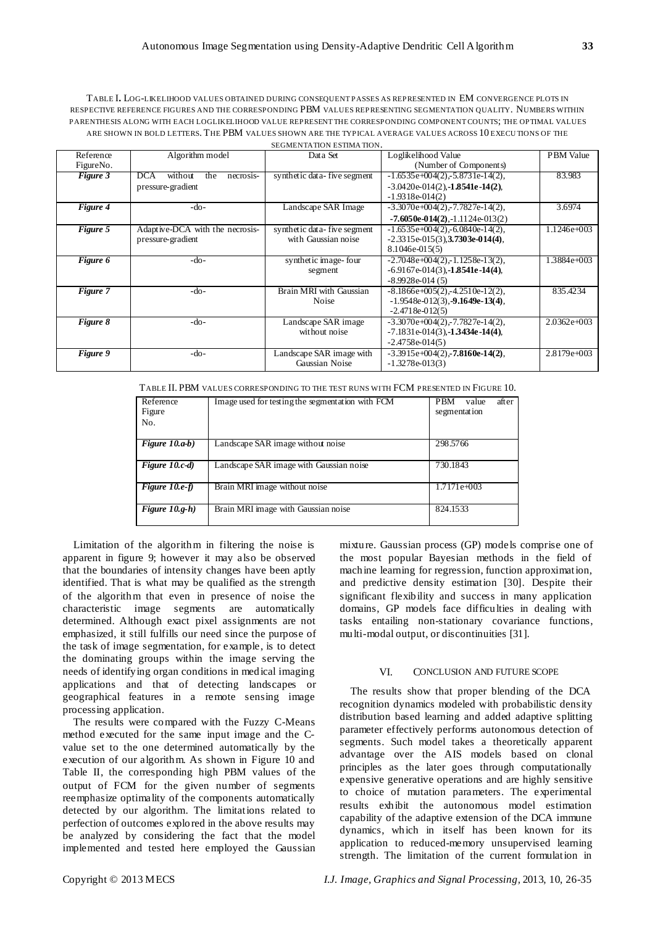TABLE I**.** LOG-LIKELIHOOD VALUES OBTAINED DURING CONSEQUENT PASSES AS REPRESENTED IN EM CONVERGENCE PLOTS IN RESPECTIVE REFERENCE FIGURES AND THE CORRESPONDING PBM VALUES REPRESENTING SEGMENTATION QUALITY. NUMBERS WITHIN PARENTHESIS ALONG WITH EACH LOGLIKELIHOOD VALUE REPRESENT THE CORRESPONDING COMPONENT COUNTS; THE OPTIMAL VALUES ARE SHOWN IN BOLD LETTERS. THE PBM VALUES SHOWN ARE THE TYPICAL AVERAGE VALUES ACROSS 10 EXECU TIONS OF THE SEGMENTATION ESTIMA TION.

| Reference | Algorithm model                           | Data Set                    | Loglikelihood Value                        | <b>PBM</b> Value |
|-----------|-------------------------------------------|-----------------------------|--------------------------------------------|------------------|
| FigureNo. |                                           |                             | (Number of Components)                     |                  |
| Figure 3  | <b>DCA</b><br>without<br>the<br>necrosis- | synthetic data-five segment | $-1.6535e+004(2) - 5.8731e-14(2)$ ,        | 83.983           |
|           | pressure-gradient                         |                             | $-3.0420e-014(2)$ , $-1.8541e-14(2)$ ,     |                  |
|           |                                           |                             | $-1.9318e-014(2)$                          |                  |
| Figure 4  | -do-                                      | Landscape SAR Image         | $-3.3070e + 004(2) - 7.7827e - 14(2)$ ,    | 3.6974           |
|           |                                           |                             | $-7.6050e - 014(2)$ , $-1.1124e - 013(2)$  |                  |
| Figure 5  | Adaptive-DCA with the necrosis-           | synthetic data-five segment | $-1.6535e+004(2) - 6.0840e-14(2)$ ,        | $1.1246e + 003$  |
|           | pressure-gradient                         | with Gaussian noise         | $-2.3315e-015(3),$ <b>3.7303e-014(4)</b> , |                  |
|           |                                           |                             | $8.1046e - 015(5)$                         |                  |
| Figure 6  | $-do-$                                    | synthetic image-four        | $-2.7048e + 004(2) - 1.1258e - 13(2)$ ,    | 1.3884e+003      |
|           |                                           | segment                     | $-6.9167e-014(3)$ , $-1.8541e-14(4)$ ,     |                  |
|           |                                           |                             | $-8.9928e-014(5)$                          |                  |
| Figure 7  | $-do-$                                    | Brain MRI with Gaussian     | $-8.1866e+005(2)$ , $-4.2510e-12(2)$ ,     | 835.4234         |
|           |                                           | Noise                       | $-1.9548e-012(3), -9.1649e-13(4),$         |                  |
|           |                                           |                             | $-2.4718e-012(5)$                          |                  |
| Figure 8  | $-do-$                                    | Landscape SAR image         | $-3.3070e+004(2) -7.7827e-14(2)$ ,         | $2.0362e + 003$  |
|           |                                           | without noise               | $-7.1831e-014(3)$ , $-1.3434e-14(4)$ ,     |                  |
|           |                                           |                             | $-2.4758e-014(5)$                          |                  |
| Figure 9  | $-do-$                                    | Landscape SAR image with    | $-3.3915e+004(2)$ , $-7.8160e-14(2)$ ,     | 2.8179e+003      |
|           |                                           | Gaussian Noise              | $-1.3278e-013(3)$                          |                  |

TABLE II. PBM VALUES CORRESPONDING TO THE TEST RUNS WITH FCM PRESENTED IN FIGURE 10.

| Reference<br>Figure | Image used for testing the segment ation with FCM | <b>PBM</b><br>after<br>value<br>segmentation |
|---------------------|---------------------------------------------------|----------------------------------------------|
| No.                 |                                                   |                                              |
| Figure $10.a-b$ )   | Landscape SAR image without noise                 | 298.5766                                     |
| Figure $10.c-d$     | Landscape SAR image with Gaussian noise           | 730.1843                                     |
| Figure $10.e-f$     | Brain MRI image without noise                     | $1.7171e+003$                                |
| Figure $10.g-h$ )   | Brain MRI image with Gaussian noise               | 824.1533                                     |

Limitation of the algorithm in filtering the noise is apparent in figure 9; however it may also be observed that the boundaries of intensity changes have been aptly identified. That is what may be qualified as the strength of the algorithm that even in presence of noise the characteristic image segments are automatically determined. Although exact pixel assignments are not emphasized, it still fulfills our need since the purpose of the task of image segmentation, for example, is to detect the dominating groups within the image serving the needs of identifying organ conditions in medical imaging applications and that of detecting landscapes or geographical features in a remote sensing image processing application.

The results were compared with the Fuzzy C-Means method executed for the same input image and the Cvalue set to the one determined automatically by the execution of our algorithm. As shown in Figure 10 and Table II, the corresponding high PBM values of the output of FCM for the given number of segments reemphasize optimality of the components automatically detected by our algorithm. The limitations related to perfection of outcomes explored in the above results may be analyzed by considering the fact that the model implemented and tested here employed the Gaussian

mixture. Gaussian process (GP) models comprise one of the most popular Bayesian methods in the field of machine learning for regression, function approximation, and predictive density estimation [30]. Despite their significant flexibility and success in many application domains, GP models face difficulties in dealing with tasks entailing non-stationary covariance functions, multi-modal output, or discontinuities [31].

# VI. CONCLUSION AND FUTURE SCOPE

The results show that proper blending of the DCA recognition dynamics modeled with probabilistic density distribution based learning and added adaptive splitting parameter effectively performs autonomous detection of segments. Such model takes a theoretically apparent advantage over the AIS models based on clonal principles as the later goes through computationally expensive generative operations and are highly sensitive to choice of mutation parameters. The experimental results exhibit the autonomous model estimation capability of the adaptive extension of the DCA immune dynamics, which in itself has been known for its application to reduced-memory unsupervised learning strength. The limitation of the current formulation in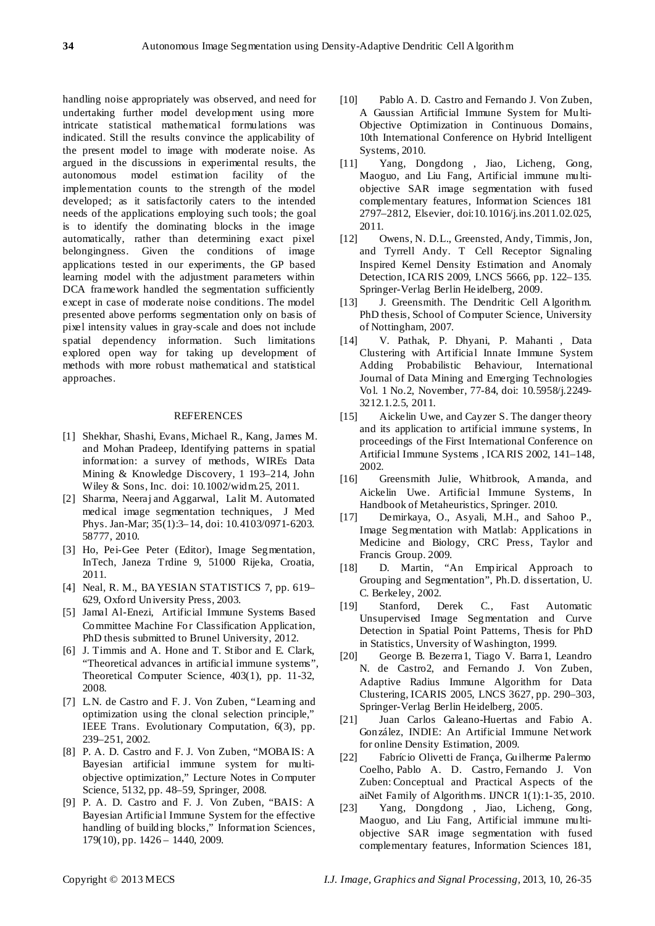handling noise appropriately was observed, and need for undertaking further model development using more intricate statistical mathematical formulations was indicated. Still the results convince the applicability of the present model to image with moderate noise. As argued in the discussions in experimental results, the autonomous model estimation facility of the implementation counts to the strength of the model developed; as it satisfactorily caters to the intended needs of the applications employing such tools; the goal is to identify the dominating blocks in the image automatically, rather than determining exact pixel belongingness. Given the conditions of image applications tested in our experiments, the GP based learning model with the adjustment parameters within DCA framework handled the segmentation sufficiently except in case of moderate noise conditions. The model presented above performs segmentation only on basis of pixel intensity values in gray-scale and does not include spatial dependency information. Such limitations explored open way for taking up development of methods with more robust mathematical and statistical approaches.

## REFERENCES

- [1] Shekhar, Shashi, Evans, Michael R., Kang, James M. and Mohan Pradeep, Identifying patterns in spatial information: a survey of methods, WIREs Data Mining & Knowledge Discovery, 1 193–214, John Wiley & Sons, Inc. doi: 10.1002/widm.25, 2011.
- [2] [Sharma,](http://www.ncbi.nlm.nih.gov/sites/entrez?cmd=search&db=PubMed&term=%20Sharma%20N%5Bauth%5D) Neeraj and Aggarwal, [Lalit M. A](http://www.ncbi.nlm.nih.gov/sites/entrez?cmd=search&db=PubMed&term=%20Aggarwal%20LM%5Bauth%5D)utomated medical image segmentation techniques, J Med Phys. Jan-Mar; 35(1):3–14, doi: [10.4103/0971-6203.](http://dx.crossref.org/10.4103%2F0971-6203.58777) [58777,](http://dx.crossref.org/10.4103%2F0971-6203.58777) 2010.
- [3] Ho, Pei-Gee Peter (Editor), Image Segmentation, InTech, Janeza Trdine 9, 51000 Rijeka, Croatia, 2011.
- [4] Neal, R. M., BAYESIAN STATISTICS 7, pp. 619– 629, Oxford University Press, 2003.
- [5] Jamal Al-Enezi, Artificial Immune Systems Based Committee Machine For Classification Application, PhD thesis submitted to Brunel University, 2012.
- [6] J. Timmis and A. Hone and T. Stibor and E. Clark, "Theoretical advances in artificial immune systems", Theoretical Computer Science, 403(1), pp. 11-32, 2008.
- [7] L.N. de Castro and F. J. Von Zuben, "Learning and optimization using the clonal selection principle," IEEE Trans. Evolutionary Computation, 6(3), pp. 239–251, 2002.
- [8] P. A. D. Castro and F. J. Von Zuben, "MOBAIS: A Bayesian artificial immune system for multiobjective optimization," Lecture Notes in Computer Science, 5132, pp. 48–59, Springer, 2008.
- [9] P. A. D. Castro and F. J. Von Zuben, "BAIS: A Bayesian Artificial Immune System for the effective handling of building blocks," Information Sciences, 179(10), pp. 1426 – 1440, 2009.
- [10] Pablo A. D. Castro and Fernando J. Von Zuben, A Gaussian Artificial Immune System for Multi-Objective Optimization in Continuous Domains, 10th International Conference on Hybrid Intelligent Systems, 2010.<br>[11] Yang, Do
- Yang, Dongdong , Jiao, Licheng, Gong, Maoguo, and Liu Fang, Artificial immune multiobjective SAR image segmentation with fused complementary features, Information Sciences 181 2797–2812, Elsevier, doi:10.1016/j.ins.2011.02.025, 2011.
- [12] Owens, N. D.L., Greensted, Andy, Timmis, Jon, and Tyrrell Andy. T Cell Receptor Signaling Inspired Kernel Density Estimation and Anomaly Detection, ICARIS 2009, LNCS 5666, pp. 122–135. Springer-Verlag Berlin Heidelberg, 2009.
- [13] J. Greensmith. The Dendritic Cell Algorithm. PhD thesis, School of Computer Science, University of Nottingham, 2007.
- [14] V. Pathak, P. Dhyani, P. Mahanti , Data Clustering with Artificial Innate Immune System Adding Probabilistic Behaviour, International Journal of Data Mining and Emerging Technologies Vol. 1 No.2, November, 77-84, doi: 10.5958/j.2249- 3212.1.2.5, 2011.
- [15] Aickelin Uwe, and Cayzer S. The danger theory and its application to artificial immune systems, In proceedings of the First International Conference on Artificial Immune Systems , ICARIS 2002, 141–148, 2002.
- [16] Greensmith Julie, Whitbrook, Amanda, and Aickelin Uwe. Artificial Immune Systems, In Handbook of Metaheuristics, Springer. 2010.
- [17] Demirkaya, O., Asyali, M.H., and Sahoo P., Image Segmentation with Matlab: Applications in Medicine and Biology, CRC Press, Taylor and Francis Group. 2009.
- [18] D. Martin, "An Empirical Approach to Grouping and Segmentation", Ph.D. dissertation, U. C. Berkeley, 2002.
- [19] Stanford, Derek C., Fast Automatic Unsupervised Image Segmentation and Curve Detection in Spatial Point Patterns, Thesis for PhD in Statistics, Unversity of Washington, 1999.
- [20] George B. Bezerra1, Tiago V. Barra1, Leandro N. de Castro2, and Fernando J. Von Zuben, Adaptive Radius Immune Algorithm for Data Clustering, ICARIS 2005, LNCS 3627, pp. 290–303, Springer-Verlag Berlin Heidelberg, 2005.
- [21] Juan Carlos Galeano-Huertas and Fabio A. González, INDIE: An Artificial Immune Network for online Density Estimation, 2009.
- [22] [Fabrício Olivetti de França,](http://www.informatik.uni-trier.de/~ley/pers/hd/f/Fran=ccedil=a:Fabr=iacute=cio_Olivetti_de.html) [Guilherme Palermo](http://www.informatik.uni-trier.de/~ley/pers/hd/c/Coelho:Guilherme_Palermo.html)  [Coelho,](http://www.informatik.uni-trier.de/~ley/pers/hd/c/Coelho:Guilherme_Palermo.html) [Pablo A. D. Castro,](http://www.informatik.uni-trier.de/~ley/pers/hd/c/Castro:Pablo_Alberto_Dalbem_de.html) Fernando J. Von Zuben: Conceptual and Practical Aspects of the aiNet Family of Algorithms. [IJNCR 1\(](http://www.informatik.uni-trier.de/~ley/db/journals/ijncr/ijncr1.html#FrancaCCZ10)1):1-35, 2010.
- [23] Yang, Dongdong , Jiao, Licheng, Gong, Maoguo, and Liu Fang, Artificial immune multiobjective SAR image segmentation with fused complementary features, Information Sciences 181,